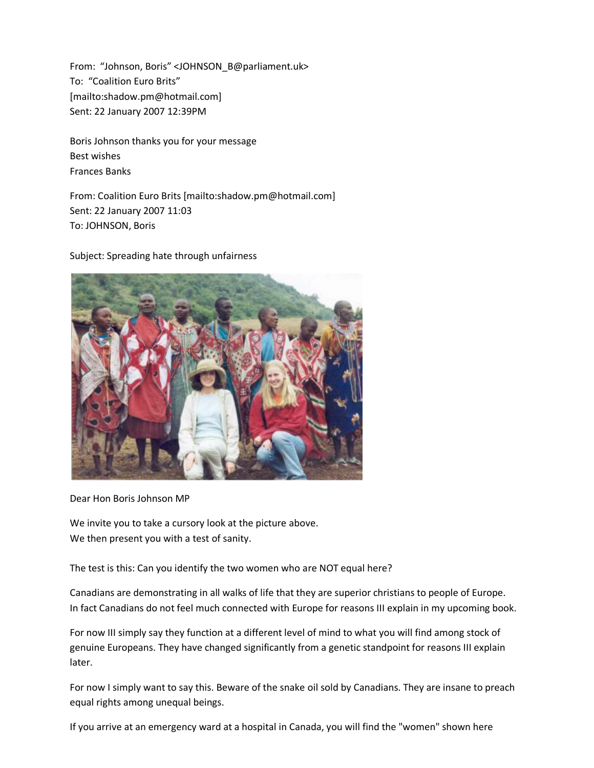From: "Johnson, Boris" <JOHNSON\_B@parliament.uk> To: "Coalition Euro Brits" [mailto:shadow.pm@hotmail.com] Sent: 22 January 2007 12:39PM

Boris Johnson thanks you for your message Best wishes Frances Banks

From: Coalition Euro Brits [mailto:shadow.pm@hotmail.com] Sent: 22 January 2007 11:03 To: JOHNSON, Boris

Subject: Spreading hate through unfairness



Dear Hon Boris Johnson MP

We invite you to take a cursory look at the picture above. We then present you with a test of sanity.

The test is this: Can you identify the two women who are NOT equal here?

Canadians are demonstrating in all walks of life that they are superior christians to people of Europe. In fact Canadians do not feel much connected with Europe for reasons III explain in my upcoming book.

For now III simply say they function at a different level of mind to what you will find among stock of genuine Europeans. They have changed significantly from a genetic standpoint for reasons III explain later.

For now I simply want to say this. Beware of the snake oil sold by Canadians. They are insane to preach equal rights among unequal beings.

If you arrive at an emergency ward at a hospital in Canada, you will find the "women" shown here